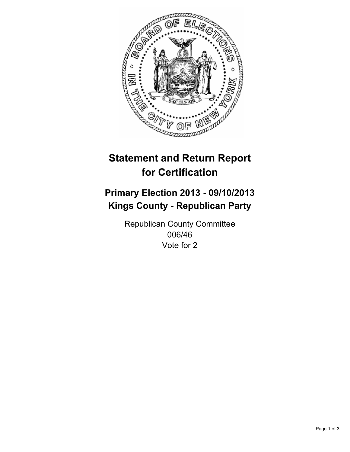

# **Statement and Return Report for Certification**

# **Primary Election 2013 - 09/10/2013 Kings County - Republican Party**

Republican County Committee 006/46 Vote for 2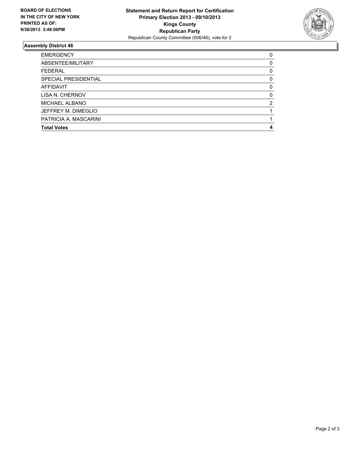

## **Assembly District 46**

| ABSENTEE/MILITARY<br><b>FEDERAL</b><br>SPECIAL PRESIDENTIAL<br>AFFIDAVIT<br>LISA N. CHERNOV<br>MICHAEL ALBANO<br>JEFFREY M. DIMEGLIO<br>PATRICIA A. MASCARINI<br><b>Total Votes</b> | <b>EMERGENCY</b> | 0        |
|-------------------------------------------------------------------------------------------------------------------------------------------------------------------------------------|------------------|----------|
|                                                                                                                                                                                     |                  | 0        |
|                                                                                                                                                                                     |                  | 0        |
|                                                                                                                                                                                     |                  | 0        |
|                                                                                                                                                                                     |                  | $\Omega$ |
|                                                                                                                                                                                     |                  | 0        |
|                                                                                                                                                                                     |                  | 2        |
|                                                                                                                                                                                     |                  |          |
|                                                                                                                                                                                     |                  |          |
|                                                                                                                                                                                     |                  | 4        |